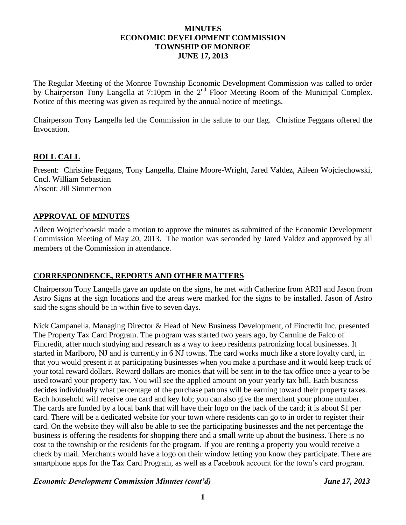### **MINUTES ECONOMIC DEVELOPMENT COMMISSION TOWNSHIP OF MONROE JUNE 17, 2013**

The Regular Meeting of the Monroe Township Economic Development Commission was called to order by Chairperson Tony Langella at 7:10pm in the 2<sup>nd</sup> Floor Meeting Room of the Municipal Complex. Notice of this meeting was given as required by the annual notice of meetings.

Chairperson Tony Langella led the Commission in the salute to our flag. Christine Feggans offered the Invocation.

## **ROLL CALL**

Present: Christine Feggans, Tony Langella, Elaine Moore-Wright, Jared Valdez, Aileen Wojciechowski, Cncl. William Sebastian Absent: Jill Simmermon

### **APPROVAL OF MINUTES**

Aileen Wojciechowski made a motion to approve the minutes as submitted of the Economic Development Commission Meeting of May 20, 2013. The motion was seconded by Jared Valdez and approved by all members of the Commission in attendance.

## **CORRESPONDENCE, REPORTS AND OTHER MATTERS**

Chairperson Tony Langella gave an update on the signs, he met with Catherine from ARH and Jason from Astro Signs at the sign locations and the areas were marked for the signs to be installed. Jason of Astro said the signs should be in within five to seven days.

Nick Campanella, Managing Director & Head of New Business Development, of Fincredit Inc. presented The Property Tax Card Program. The program was started two years ago, by Carmine de Falco of Fincredit, after much studying and research as a way to keep residents patronizing local businesses. It started in Marlboro, NJ and is currently in 6 NJ towns. The card works much like a store loyalty card, in that you would present it at participating businesses when you make a purchase and it would keep track of your total reward dollars. Reward dollars are monies that will be sent in to the tax office once a year to be used toward your property tax. You will see the applied amount on your yearly tax bill. Each business decides individually what percentage of the purchase patrons will be earning toward their property taxes. Each household will receive one card and key fob; you can also give the merchant your phone number. The cards are funded by a local bank that will have their logo on the back of the card; it is about \$1 per card. There will be a dedicated website for your town where residents can go to in order to register their card. On the website they will also be able to see the participating businesses and the net percentage the business is offering the residents for shopping there and a small write up about the business. There is no cost to the township or the residents for the program. If you are renting a property you would receive a check by mail. Merchants would have a logo on their window letting you know they participate. There are smartphone apps for the Tax Card Program, as well as a Facebook account for the town's card program.

#### *Economic Development Commission Minutes (cont'd) June 17, 2013*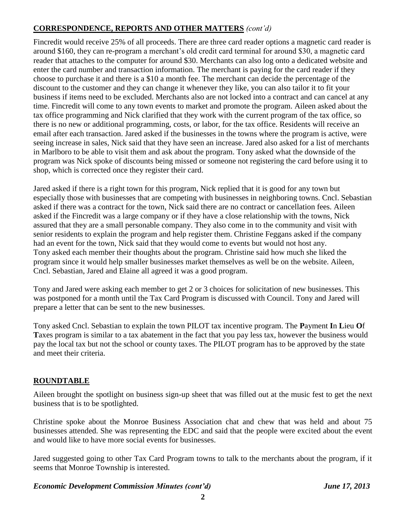# **CORRESPONDENCE, REPORTS AND OTHER MATTERS** *(cont'd)*

Fincredit would receive 25% of all proceeds. There are three card reader options a magnetic card reader is around \$160, they can re-program a merchant's old credit card terminal for around \$30, a magnetic card reader that attaches to the computer for around \$30. Merchants can also log onto a dedicated website and enter the card number and transaction information. The merchant is paying for the card reader if they choose to purchase it and there is a \$10 a month fee. The merchant can decide the percentage of the discount to the customer and they can change it whenever they like, you can also tailor it to fit your business if items need to be excluded. Merchants also are not locked into a contract and can cancel at any time. Fincredit will come to any town events to market and promote the program. Aileen asked about the tax office programming and Nick clarified that they work with the current program of the tax office, so there is no new or additional programming, costs, or labor, for the tax office. Residents will receive an email after each transaction. Jared asked if the businesses in the towns where the program is active, were seeing increase in sales, Nick said that they have seen an increase. Jared also asked for a list of merchants in Marlboro to be able to visit them and ask about the program. Tony asked what the downside of the program was Nick spoke of discounts being missed or someone not registering the card before using it to shop, which is corrected once they register their card.

Jared asked if there is a right town for this program, Nick replied that it is good for any town but especially those with businesses that are competing with businesses in neighboring towns. Cncl. Sebastian asked if there was a contract for the town, Nick said there are no contract or cancellation fees. Aileen asked if the Fincredit was a large company or if they have a close relationship with the towns, Nick assured that they are a small personable company. They also come in to the community and visit with senior residents to explain the program and help register them. Christine Feggans asked if the company had an event for the town, Nick said that they would come to events but would not host any. Tony asked each member their thoughts about the program. Christine said how much she liked the program since it would help smaller businesses market themselves as well be on the website. Aileen, Cncl. Sebastian, Jared and Elaine all agreed it was a good program.

Tony and Jared were asking each member to get 2 or 3 choices for solicitation of new businesses. This was postponed for a month until the Tax Card Program is discussed with Council. Tony and Jared will prepare a letter that can be sent to the new businesses.

Tony asked Cncl. Sebastian to explain the town PILOT tax incentive program. The **P**ayment **I**n **L**ieu **O**f **T**axes program is similar to a tax abatement in the fact that you pay less tax, however the business would pay the local tax but not the school or county taxes. The PILOT program has to be approved by the state and meet their criteria.

# **ROUNDTABLE**

Aileen brought the spotlight on business sign-up sheet that was filled out at the music fest to get the next business that is to be spotlighted.

Christine spoke about the Monroe Business Association chat and chew that was held and about 75 businesses attended. She was representing the EDC and said that the people were excited about the event and would like to have more social events for businesses.

Jared suggested going to other Tax Card Program towns to talk to the merchants about the program, if it seems that Monroe Township is interested.

## *Economic Development Commission Minutes (cont'd) June 17, 2013*